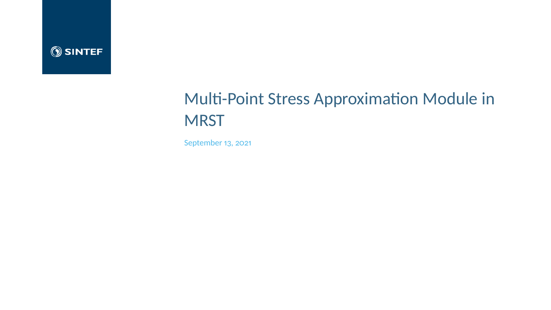

# Multi-Point Stress Approximation Module in **MRST**

September 13, 2021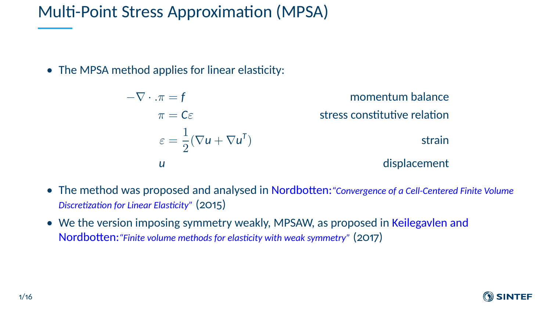## Multi-Point Stress Approximation (MPSA)

• The MPSA method applies for linear elasticity:

 $-\nabla \cdot \pi = f$  momentum balance  $\pi = C \varepsilon$  stress constitutive relation  $\varepsilon = \frac{1}{2}$  $\frac{1}{2}(\nabla u + \nabla u^{\mathsf{T}})$ ) strain *u* displacement

- The method was proposed and analysed in Nordbotten:*"Convergence of a Cell-Centered Finite Volume Discretization for Linear Elasticity"* (2015)
- We the version imposing symmetry weakly, MPSAW, as proposed in Keilegavlen and Nordbotten:*"Finite volume methods for elasticity with weak symmetry"* (2017)

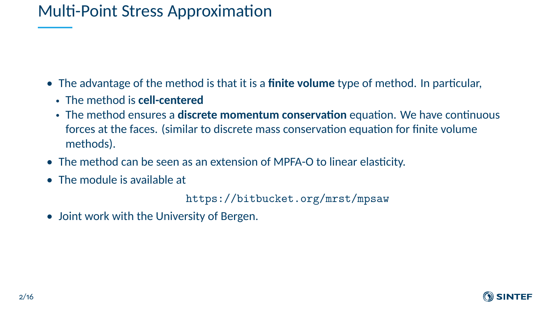## Multi-Point Stress Approximation

- The advantage of the method is that it is a **finite volume** type of method. In particular,
	- The method is **cell-centered**
	- The method ensures a **discrete momentum conservation** equation. We have continuous forces at the faces. (similar to discrete mass conservation equation for finite volume methods).
- The method can be seen as an extension of MPFA-O to linear elasticity.
- The module is available at

<https://bitbucket.org/mrst/mpsaw>

• Joint work with the University of Bergen.

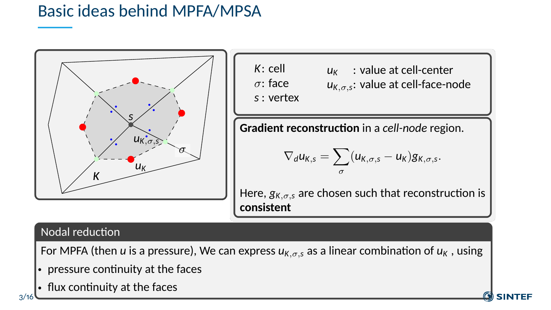## Basic ideas behind MPFA/MPSA



*K*: cell σ: face *s* : vertex *u<sup>K</sup>* : value at cell-center *u<sup>K</sup>*,σ,*<sup>s</sup>* : value at cell-face-node

**Gradient reconstruction** in a *cell-node* region.

$$
\nabla_d u_{K,s} = \sum_{\sigma} (u_{K,\sigma,s} - u_K) g_{K,\sigma,s}.
$$

Here, *g<sup>K</sup>*,σ,*<sup>s</sup>* are chosen such that reconstruction is **consistent**

**SINTEF** 

#### Nodal reduction

For MPFA (then *u* is a pressure), We can express *uK*,σ,*<sup>s</sup>* as a linear combination of *u<sup>K</sup>* , using

- pressure continuity at the faces
- flux continuity at the faces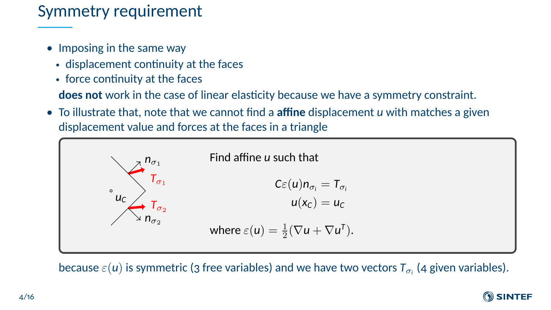#### Symmetry requirement

- Imposing in the same way
	- displacement continuity at the faces
	- force continuity at the faces

**does not** work in the case of linear elasticity because we have a symmetry constraint.

• To illustrate that, note that we cannot find a **affine** displacement *u* with matches a given displacement value and forces at the faces in a triangle



because  $\varepsilon(u)$  is symmetric (3 free variables) and we have two vectors  ${\sf T}_{\sigma_i}$  (4 given variables).

#### **O** SINTEF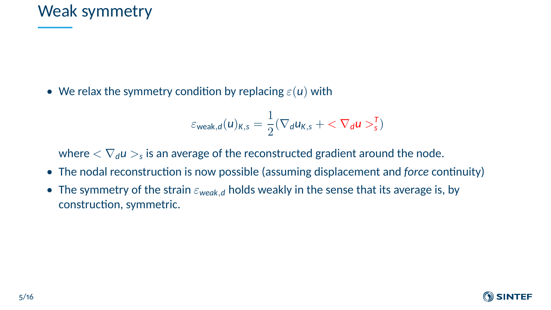#### Weak symmetry

• We relax the symmetry condition by replacing  $\varepsilon(u)$  with

$$
\varepsilon_{\text{weak},d}(u)_{K,s} = \frac{1}{2}(\nabla_d u_{K,s} + \langle \nabla_d u \rangle_s^T)
$$

where  $<\nabla_d u>_s$  is an average of the reconstructed gradient around the node.

- The nodal reconstruction is now possible (assuming displacement and *force* continuity)
- The symmetry of the strain  $\varepsilon_{weak,d}$  holds weakly in the sense that its average is, by construction, symmetric.

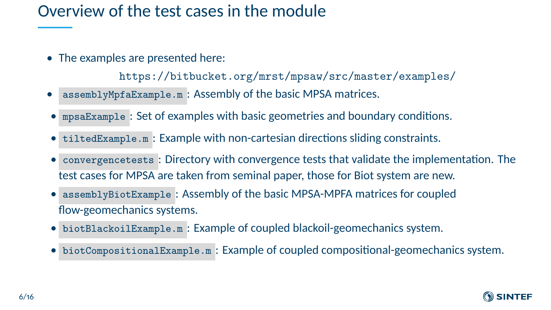## Overview of the test cases in the module

• The examples are presented here:

<https://bitbucket.org/mrst/mpsaw/src/master/examples/>

- assemblyMpfaExample.m : Assembly of the basic MPSA matrices.
- mpsaExample : Set of examples with basic geometries and boundary conditions.
- tiltedExample.m : Example with non-cartesian directions sliding constraints.
- convergencetests : Directory with convergence tests that validate the implementation. The test cases for MPSA are taken from seminal paper, those for Biot system are new.
- assemblyBiotExample : Assembly of the basic MPSA-MPFA matrices for coupled flow-geomechanics systems.
- biotBlackoilExample.m : Example of coupled blackoil-geomechanics system.
- biotCompositionalExample.m : Example of coupled compositional-geomechanics system.

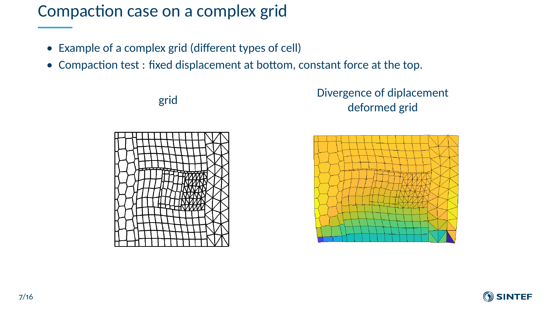#### Compaction case on a complex grid

- Example of a complex grid (different types of cell)
- Compaction test : fixed displacement at bottom, constant force at the top.







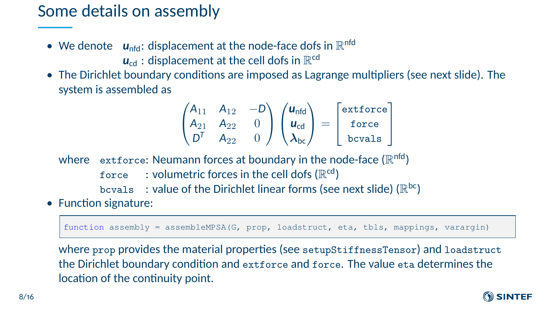#### Some details on assembly

- $\bullet\;$  We denote  $\;$   $\;u_{\mathsf{nfd}}\:$ : displacement at the node-face dofs in  $\mathbb{R}^{\mathsf{nfd}}$  $\boldsymbol{u}_{\rm cd}$  : displacement at the cell dofs in  $\mathbb{R}^{\rm cd}$
- The Dirichlet boundary conditions are imposed as Lagrange multipliers (see next slide). The system is assembled as

$$
\begin{pmatrix} A_{11} & A_{12} & -D \ A_{21} & A_{22} & 0 \ D^T & A_{22} & 0 \end{pmatrix} \begin{pmatrix} \mathbf{u}_{\text{nfd}} \\ \mathbf{u}_{\text{cd}} \\ \lambda_{\text{bc}} \end{pmatrix} = \begin{bmatrix} \text{extforce} \\ \text{force} \\ \text{bcvals} \end{bmatrix}
$$

where  $\;$   $\;$   $\;$   $\;$   $\;$  extforce: Neumann forces at boundary in the node-face (  $\mathbb{R}^{\rm nfd}$  ) <code>force  $\,$  : volumetric</code> forces in the cell dofs ( $\mathbb{R}^{\mathrm{cd}}$ ) <code>bcvals  $\;$  : value</code> of the Dirichlet linear forms (see next slide) ( $\mathbb{R}^{\mathsf{bc}}$ )

• Function signature:

function assembly = assembleMPSA(G, prop, loadstruct, eta, tbls, mappings, varargin)

where prop provides the material properties (see setupStiffnessTensor) and loadstruct the Dirichlet boundary condition and extforce and force. The value eta determines the location of the continuity point.

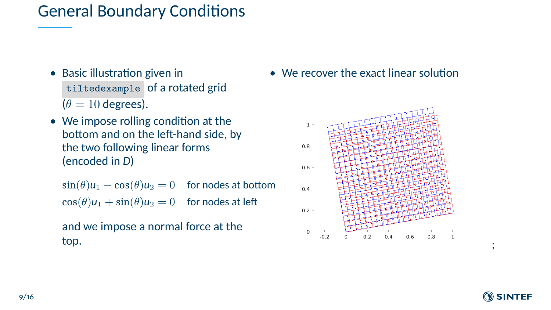#### General Boundary Conditions

- Basic illustration given in tiltedexample of a rotated grid  $(\theta = 10$  degrees).
- We impose rolling condition at the bottom and on the left-hand side, by the two following linear forms (encoded in *D*)

 $\sin(\theta)u_1 - \cos(\theta)u_2 = 0$  for nodes at bottom  $\cos(\theta)u_1 + \sin(\theta)u_2 = 0$  for nodes at left

```
and we impose a normal force at the
top.
```
• We recover the exact linear solution



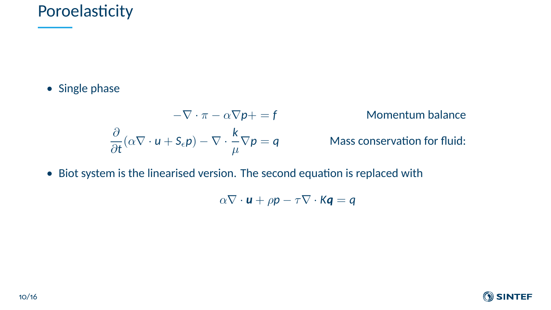## Poroelasticity

• Single phase

$$
-\nabla \cdot \pi - \alpha \nabla p + = f
$$
 Momentum balance  

$$
\frac{\partial}{\partial t} (\alpha \nabla \cdot u + S_{\epsilon} p) - \nabla \cdot \frac{k}{\mu} \nabla p = q
$$
 Mass conservation for fluid:

• Biot system is the linearised version. The second equation is replaced with

$$
\alpha \nabla \cdot \mathbf{u} + \rho \mathbf{p} - \tau \nabla \cdot \mathbf{K} \mathbf{q} = \mathbf{q}
$$

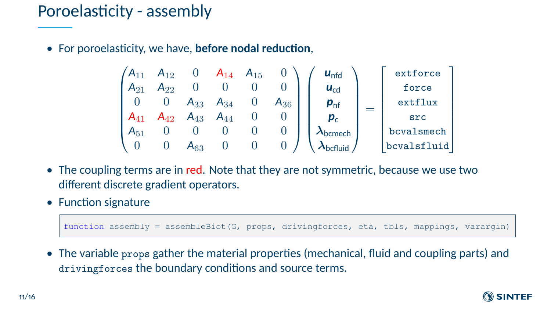## Poroelasticity - assembly

• For poroelasticity, we have, **before nodal reduction**,

$$
\begin{pmatrix}\nA_{11} & A_{12} & 0 & A_{14} & A_{15} & 0 \\
A_{21} & A_{22} & 0 & 0 & 0 & 0 \\
0 & 0 & A_{33} & A_{34} & 0 & A_{36} \\
A_{41} & A_{42} & A_{43} & A_{44} & 0 & 0 \\
A_{51} & 0 & 0 & 0 & 0 & 0 \\
0 & 0 & A_{63} & 0 & 0 & 0\n\end{pmatrix}\n\begin{pmatrix}\n\mathbf{u}_{\text{nfd}} \\
\mathbf{u}_{\text{cd}} \\
\mathbf{p}_{\text{nf}} \\
\mathbf{p}_{\text{c}} \\
\lambda_{\text{bcmech}} \\
\lambda_{\text{bcluid}}\n\end{pmatrix} = \begin{bmatrix}\n\text{extforce force} \\
\text{force} \\
\text{extrlux} \\
\text{exrflux} \\
\text{sc} \\
\text{bevalsmech} \\
\text{bevalsfluid}\n\end{bmatrix}
$$

- The coupling terms are in red. Note that they are not symmetric, because we use two different discrete gradient operators.
- Function signature

function assembly = assembleBiot(G, props, drivingforces, eta, tbls, mappings, varargin)

• The variable props gather the material properties (mechanical, fluid and coupling parts) and drivingforces the boundary conditions and source terms.

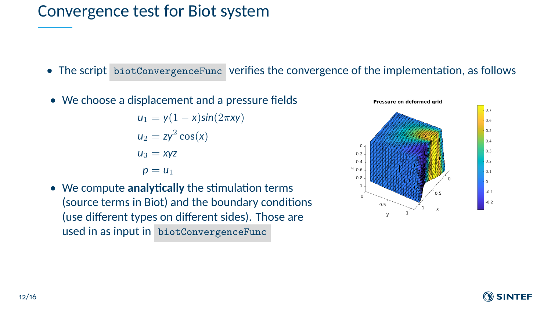#### Convergence test for Biot system

- The script biotConvergenceFunc verifies the convergence of the implementation, as follows
- We choose a displacement and a pressure fields

$$
u_1 = y(1 - x)\sin(2\pi xy)
$$
  
\n
$$
u_2 = zy^2 \cos(x)
$$
  
\n
$$
u_3 = xyz
$$
  
\n
$$
p = u_1
$$

• We compute **analytically** the stimulation terms (source terms in Biot) and the boundary conditions (use different types on different sides). Those are used in as input in biotConvergenceFunc



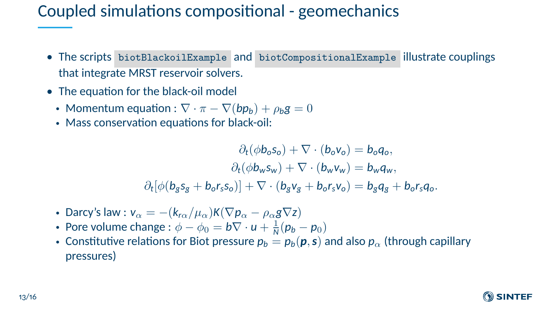## Coupled simulations compositional - geomechanics

- The scripts biotBlackoilExample and biotCompositionalExample illustrate couplings that integrate MRST reservoir solvers.
- The equation for the black-oil model
	- Momentum equation :  $\nabla \cdot \pi \nabla (b p_b) + \rho_b g = 0$
	- Mass conservation equations for black-oil:

 $\partial_t(\phi \mathbf{b}_o s_o) + \nabla \cdot (\mathbf{b}_o \mathbf{v}_o) = \mathbf{b}_o \mathbf{q}_o$  $\partial_t(\phi \mathbf{b}_w \mathbf{s}_w) + \nabla \cdot (\mathbf{b}_w \mathbf{v}_w) = \mathbf{b}_w \mathbf{q}_w$  $\partial_t[\phi(b_g s_g + b_o r_s s_o)] + \nabla \cdot (b_g v_g + b_o r_s v_o) = b_g q_g + b_o r_s q_o.$ 

- Darcy's law :  $v_{\alpha} = -(k_{r\alpha}/\mu_{\alpha})K(\nabla p_{\alpha} \rho_{\alpha}g\nabla z)$
- Pore volume change :  $\phi \phi_0 = b \nabla \cdot u + \frac{1}{N} (p_b p_0)$
- Constitutive relations for Biot pressure  $p_b = p_b(\mathbf{p}, \mathbf{s})$  and also  $p_\alpha$  (through capillary pressures)

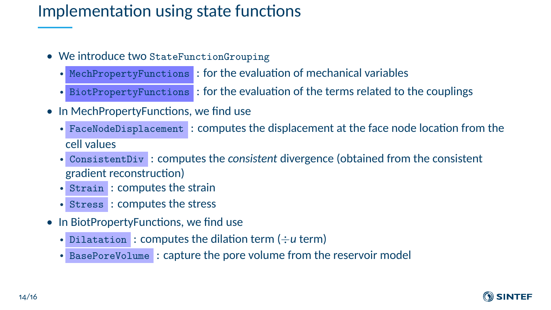## Implementation using state functions

- We introduce two StateFunctionGrouping
	- MechPropertyFunctions : for the evaluation of mechanical variables
	- BiotPropertyFunctions : for the evaluation of the terms related to the couplings
- In MechPropertyFunctions, we find use
	- FaceNodeDisplacement : computes the displacement at the face node location from the cell values
	- ConsistentDiv : computes the *consistent* divergence (obtained from the consistent gradient reconstruction)
	- Strain : computes the strain
	- Stress : computes the stress
- In BiotPropertyFunctions, we find use
	- Dilatation : computes the dilation term (÷*u* term)
	- BasePoreVolume : capture the pore volume from the reservoir model

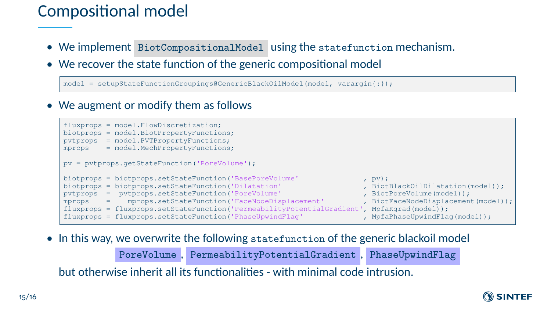## Compositional model

- We implement BiotCompositionalModel using the statefunction mechanism.
- We recover the state function of the generic compositional model

model = setupStateFunctionGroupings@GenericBlackOilModel(model, varargin{:});

• We augment or modify them as follows



• In this way, we overwrite the following statefunction of the generic blackoil model

PoreVolume , PermeabilityPotentialGradient , PhaseUpwindFlag

but otherwise inherit all its functionalities - with minimal code intrusion.